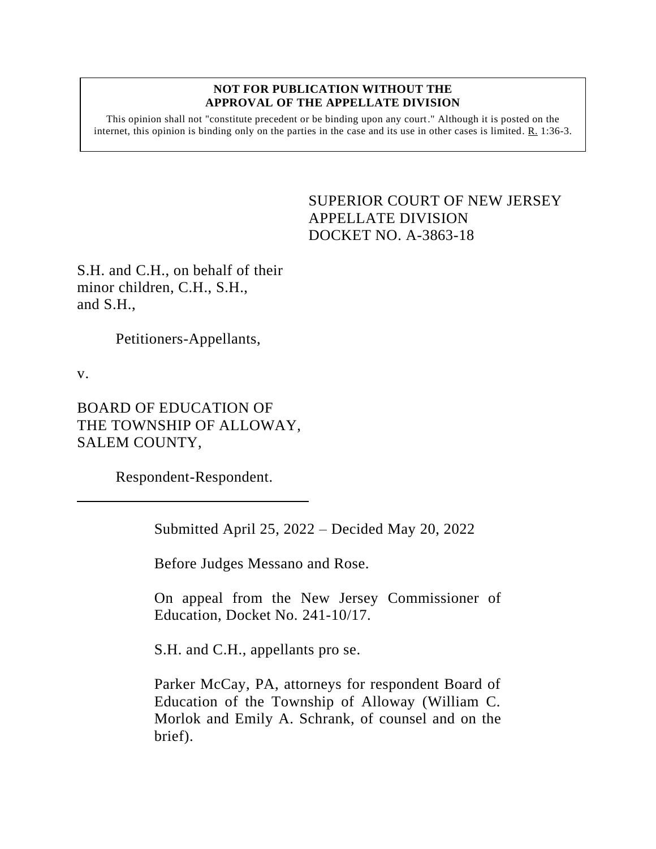## **NOT FOR PUBLICATION WITHOUT THE APPROVAL OF THE APPELLATE DIVISION**

This opinion shall not "constitute precedent or be binding upon any court." Although it is posted on the internet, this opinion is binding only on the parties in the case and its use in other cases is limited.  $R_1$  1:36-3.

> <span id="page-0-0"></span>SUPERIOR COURT OF NEW JERSEY APPELLATE DIVISION DOCKET NO. A-3863-18

S.H. and C.H., on behalf of their minor children, C.H., S.H., and S.H.,

Petitioners-Appellants,

v.

BOARD OF EDUCATION OF THE TOWNSHIP OF ALLOWAY, SALEM COUNTY,

Respondent-Respondent.

Submitted April 25, 2022 – Decided May 20, 2022

Before Judges Messano and Rose.

On appeal from the New Jersey Commissioner of Education, Docket No. 241-10/17.

S.H. and C.H., appellants pro se.

Parker McCay, PA, attorneys for respondent Board of Education of the Township of Alloway (William C. Morlok and Emily A. Schrank, of counsel and on the brief).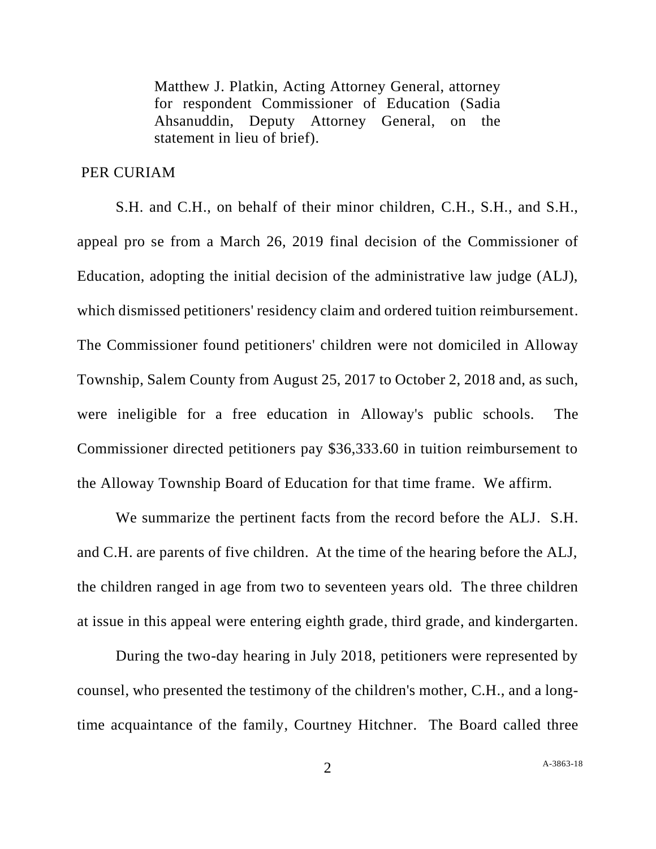Matthew J. Platkin, Acting Attorney General, attorney for respondent Commissioner of Education (Sadia Ahsanuddin, Deputy Attorney General, on the statement in lieu of brief).

## PER CURIAM

S.H. and C.H., on behalf of their minor children, C.H., S.H., and S.H., appeal pro se from a March 26, 2019 final decision of the Commissioner of Education, adopting the initial decision of the administrative law judge (ALJ), which dismissed petitioners' residency claim and ordered tuition reimbursement. The Commissioner found petitioners' children were not domiciled in Alloway Township, Salem County from August 25, 2017 to October 2, 2018 and, as such, were ineligible for a free education in Alloway's public schools. The Commissioner directed petitioners pay \$36,333.60 in tuition reimbursement to the Alloway Township Board of Education for that time frame. We affirm.

We summarize the pertinent facts from the record before the ALJ. S.H. and C.H. are parents of five children. At the time of the hearing before the ALJ, the children ranged in age from two to seventeen years old. The three children at issue in this appeal were entering eighth grade, third grade, and kindergarten.

During the two-day hearing in July 2018, petitioners were represented by counsel, who presented the testimony of the children's mother, C.H., and a longtime acquaintance of the family, Courtney Hitchner. The Board called three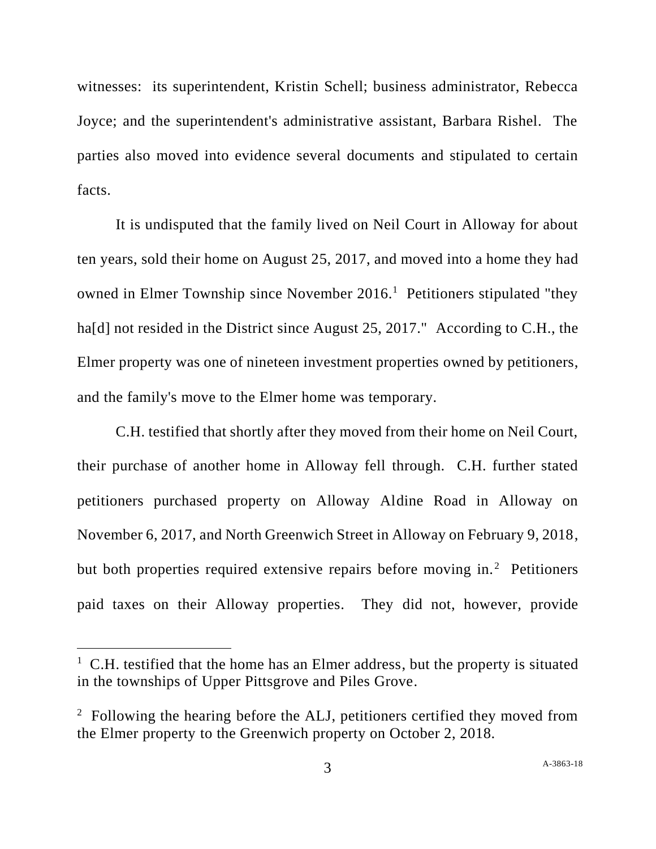witnesses: its superintendent, Kristin Schell; business administrator, Rebecca Joyce; and the superintendent's administrative assistant, Barbara Rishel. The parties also moved into evidence several documents and stipulated to certain facts.

It is undisputed that the family lived on Neil Court in Alloway for about ten years, sold their home on August 25, 2017, and moved into a home they had owned in Elmer Township since November 2016.<sup>1</sup> Petitioners stipulated "they ha<sup>[d]</sup> not resided in the District since August 25, 2017." According to C.H., the Elmer property was one of nineteen investment properties owned by petitioners, and the family's move to the Elmer home was temporary.

C.H. testified that shortly after they moved from their home on Neil Court, their purchase of another home in Alloway fell through. C.H. further stated petitioners purchased property on Alloway Aldine Road in Alloway on November 6, 2017, and North Greenwich Street in Alloway on February 9, 2018, but both properties required extensive repairs before moving in.<sup>2</sup> Petitioners paid taxes on their Alloway properties. They did not, however, provide

 $1\,$  C.H. testified that the home has an Elmer address, but the property is situated in the townships of Upper Pittsgrove and Piles Grove.

 $2$  Following the hearing before the ALJ, petitioners certified they moved from the Elmer property to the Greenwich property on October 2, 2018.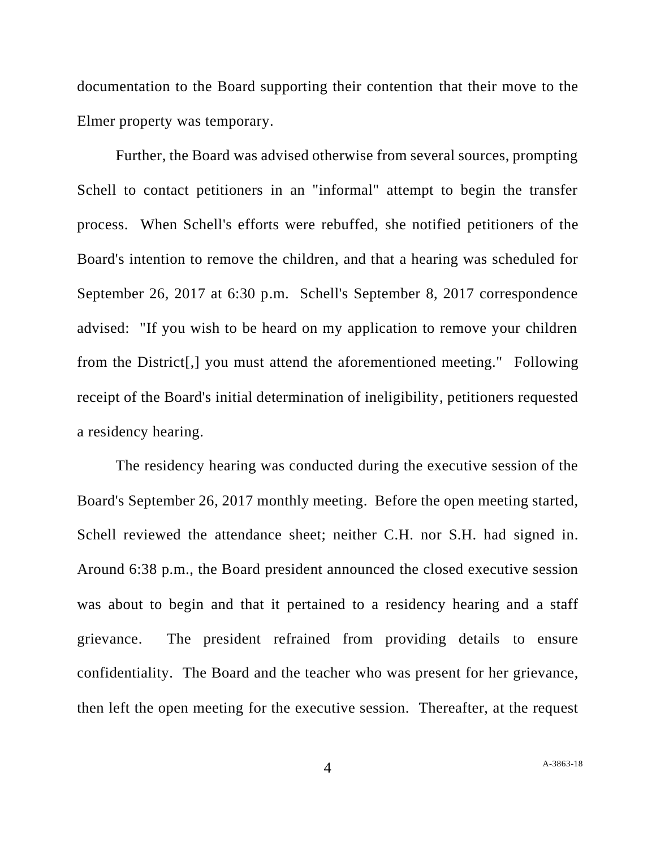documentation to the Board supporting their contention that their move to the Elmer property was temporary.

Further, the Board was advised otherwise from several sources, prompting Schell to contact petitioners in an "informal" attempt to begin the transfer process. When Schell's efforts were rebuffed, she notified petitioners of the Board's intention to remove the children, and that a hearing was scheduled for September 26, 2017 at 6:30 p.m. Schell's September 8, 2017 correspondence advised: "If you wish to be heard on my application to remove your children from the District[,] you must attend the aforementioned meeting." Following receipt of the Board's initial determination of ineligibility, petitioners requested a residency hearing.

The residency hearing was conducted during the executive session of the Board's September 26, 2017 monthly meeting. Before the open meeting started, Schell reviewed the attendance sheet; neither C.H. nor S.H. had signed in. Around 6:38 p.m., the Board president announced the closed executive session was about to begin and that it pertained to a residency hearing and a staff grievance. The president refrained from providing details to ensure confidentiality. The Board and the teacher who was present for her grievance, then left the open meeting for the executive session. Thereafter, at the request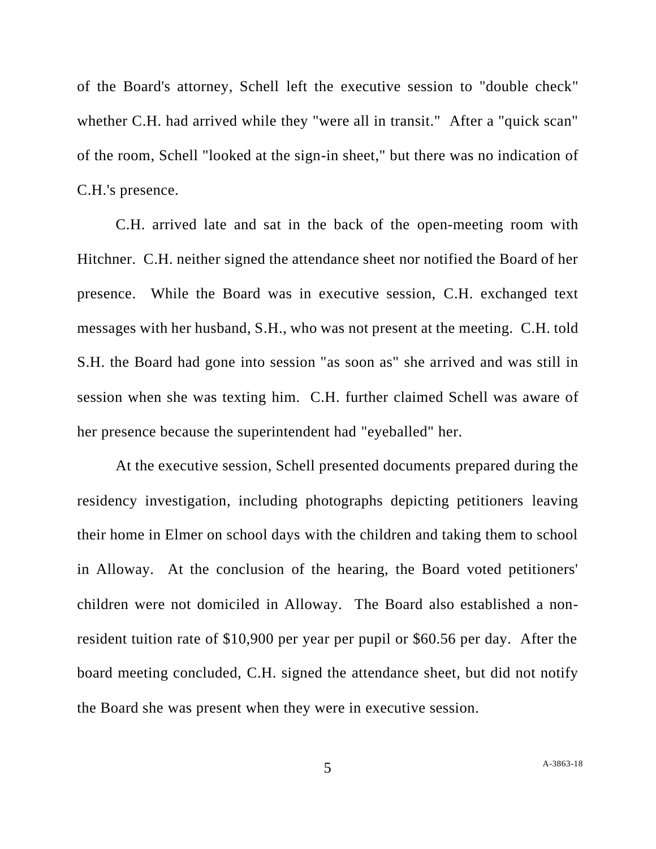of the Board's attorney, Schell left the executive session to "double check" whether C.H. had arrived while they "were all in transit." After a "quick scan" of the room, Schell "looked at the sign-in sheet," but there was no indication of C.H.'s presence.

C.H. arrived late and sat in the back of the open-meeting room with Hitchner. C.H. neither signed the attendance sheet nor notified the Board of her presence. While the Board was in executive session, C.H. exchanged text messages with her husband, S.H., who was not present at the meeting. C.H. told S.H. the Board had gone into session "as soon as" she arrived and was still in session when she was texting him. C.H. further claimed Schell was aware of her presence because the superintendent had "eyeballed" her.

At the executive session, Schell presented documents prepared during the residency investigation, including photographs depicting petitioners leaving their home in Elmer on school days with the children and taking them to school in Alloway. At the conclusion of the hearing, the Board voted petitioners' children were not domiciled in Alloway. The Board also established a nonresident tuition rate of \$10,900 per year per pupil or \$60.56 per day. After the board meeting concluded, C.H. signed the attendance sheet, but did not notify the Board she was present when they were in executive session.

5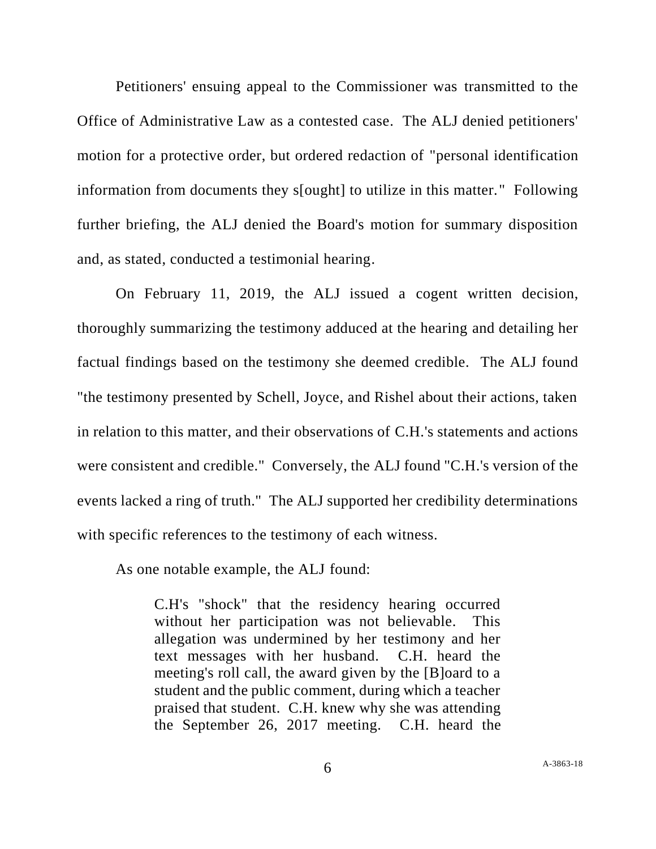Petitioners' ensuing appeal to the Commissioner was transmitted to the Office of Administrative Law as a contested case. The ALJ denied petitioners' motion for a protective order, but ordered redaction of "personal identification information from documents they s[ought] to utilize in this matter." Following further briefing, the ALJ denied the Board's motion for summary disposition and, as stated, conducted a testimonial hearing.

On February 11, 2019, the ALJ issued a cogent written decision, thoroughly summarizing the testimony adduced at the hearing and detailing her factual findings based on the testimony she deemed credible. The ALJ found "the testimony presented by Schell, Joyce, and Rishel about their actions, taken in relation to this matter, and their observations of C.H.'s statements and actions were consistent and credible." Conversely, the ALJ found "C.H.'s version of the events lacked a ring of truth." The ALJ supported her credibility determinations with specific references to the testimony of each witness.

As one notable example, the ALJ found:

C.H's "shock" that the residency hearing occurred without her participation was not believable. This allegation was undermined by her testimony and her text messages with her husband. C.H. heard the meeting's roll call, the award given by the [B]oard to a student and the public comment, during which a teacher praised that student. C.H. knew why she was attending the September 26, 2017 meeting. C.H. heard the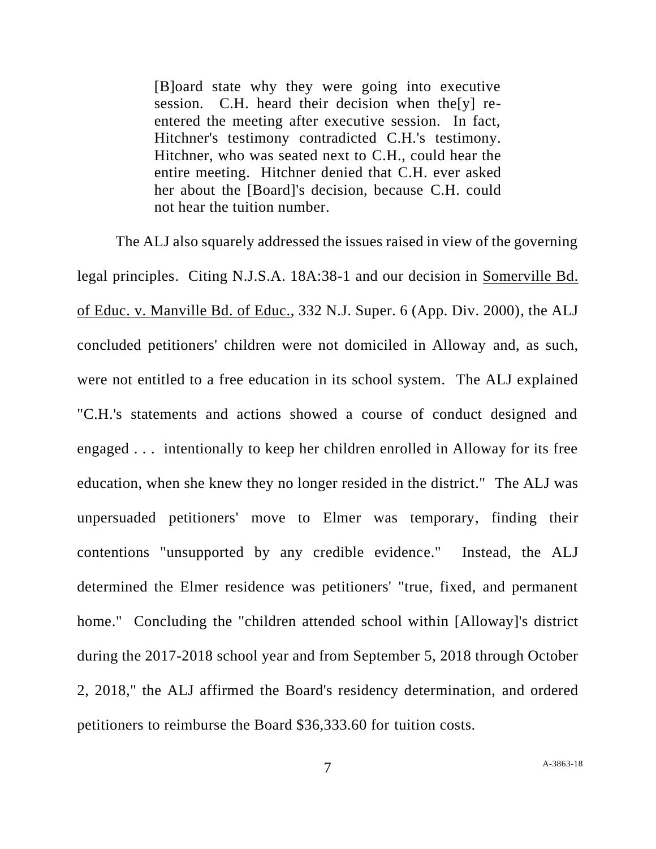[B]oard state why they were going into executive session. C.H. heard their decision when the[y] reentered the meeting after executive session. In fact, Hitchner's testimony contradicted C.H.'s testimony. Hitchner, who was seated next to C.H., could hear the entire meeting. Hitchner denied that C.H. ever asked her about the [Board]'s decision, because C.H. could not hear the tuition number.

The ALJ also squarely addressed the issues raised in view of the governing legal principles. Citing N.J.S.A. 18A:38-1 and our decision in Somerville Bd. of Educ. v. Manville Bd. of Educ., 332 N.J. Super. 6 (App. Div. 2000), the ALJ concluded petitioners' children were not domiciled in Alloway and, as such, were not entitled to a free education in its school system. The ALJ explained "C.H.'s statements and actions showed a course of conduct designed and engaged . . . intentionally to keep her children enrolled in Alloway for its free education, when she knew they no longer resided in the district." The ALJ was unpersuaded petitioners' move to Elmer was temporary, finding their contentions "unsupported by any credible evidence." Instead, the ALJ determined the Elmer residence was petitioners' "true, fixed, and permanent home." Concluding the "children attended school within [Alloway]'s district during the 2017-2018 school year and from September 5, 2018 through October 2, 2018," the ALJ affirmed the Board's residency determination, and ordered petitioners to reimburse the Board \$36,333.60 for tuition costs.

7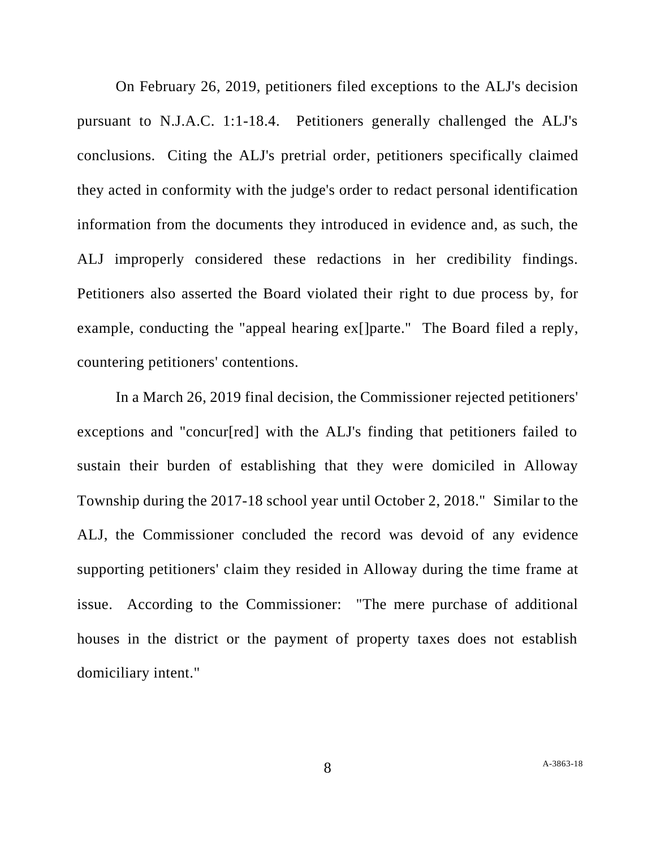On February 26, 2019, petitioners filed exceptions to the ALJ's decision pursuant to N.J.A.C. 1:1-18.4. Petitioners generally challenged the ALJ's conclusions. Citing the ALJ's pretrial order, petitioners specifically claimed they acted in conformity with the judge's order to redact personal identification information from the documents they introduced in evidence and, as such, the ALJ improperly considered these redactions in her credibility findings. Petitioners also asserted the Board violated their right to due process by, for example, conducting the "appeal hearing ex[]parte." The Board filed a reply, countering petitioners' contentions.

In a March 26, 2019 final decision, the Commissioner rejected petitioners' exceptions and "concur[red] with the ALJ's finding that petitioners failed to sustain their burden of establishing that they were domiciled in Alloway Township during the 2017-18 school year until October 2, 2018." Similar to the ALJ, the Commissioner concluded the record was devoid of any evidence supporting petitioners' claim they resided in Alloway during the time frame at issue. According to the Commissioner: "The mere purchase of additional houses in the district or the payment of property taxes does not establish domiciliary intent."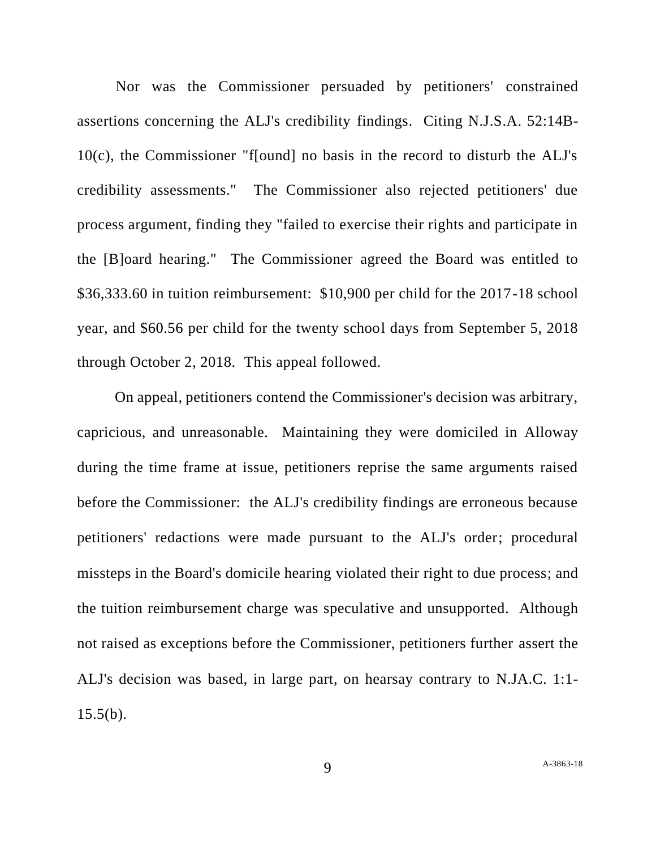Nor was the Commissioner persuaded by petitioners' constrained assertions concerning the ALJ's credibility findings. Citing N.J.S.A. 52:14B-10(c), the Commissioner "f[ound] no basis in the record to disturb the ALJ's credibility assessments." The Commissioner also rejected petitioners' due process argument, finding they "failed to exercise their rights and participate in the [B]oard hearing." The Commissioner agreed the Board was entitled to \$36,333.60 in tuition reimbursement: \$10,900 per child for the 2017-18 school year, and \$60.56 per child for the twenty school days from September 5, 2018 through October 2, 2018. This appeal followed.

On appeal, petitioners contend the Commissioner's decision was arbitrary, capricious, and unreasonable. Maintaining they were domiciled in Alloway during the time frame at issue, petitioners reprise the same arguments raised before the Commissioner: the ALJ's credibility findings are erroneous because petitioners' redactions were made pursuant to the ALJ's order; procedural missteps in the Board's domicile hearing violated their right to due process; and the tuition reimbursement charge was speculative and unsupported. Although not raised as exceptions before the Commissioner, petitioners further assert the ALJ's decision was based, in large part, on hearsay contrary to N.JA.C. 1:1-  $15.5(b)$ .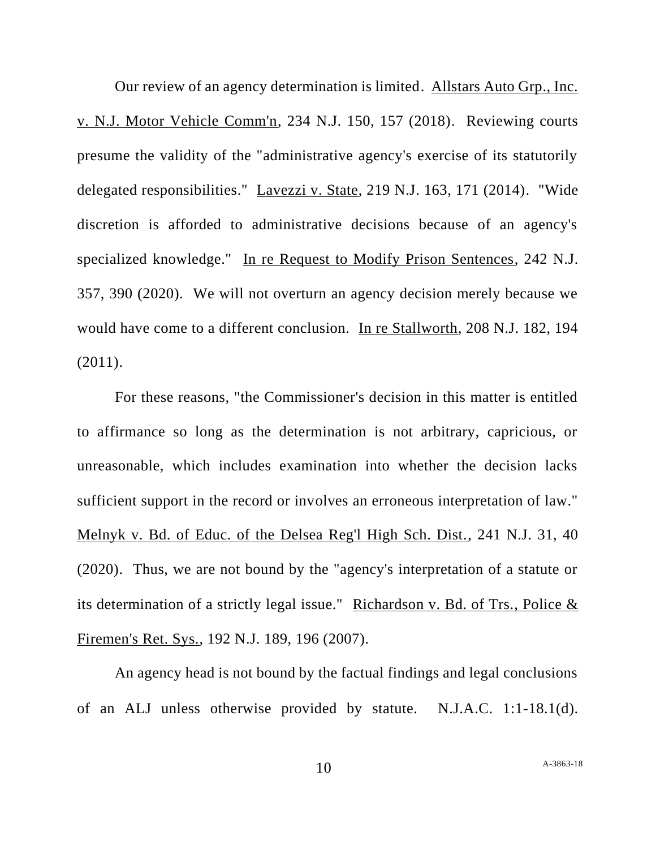Our review of an agency determination is limited. Allstars Auto Grp., Inc. v. N.J. Motor Vehicle Comm'n, 234 N.J. 150, 157 (2018). Reviewing courts presume the validity of the "administrative agency's exercise of its statutorily delegated responsibilities." Lavezzi v. State, 219 N.J. 163, 171 (2014). "Wide discretion is afforded to administrative decisions because of an agency's specialized knowledge." In re Request to Modify Prison Sentences, 242 N.J. 357, 390 (2020). We will not overturn an agency decision merely because we would have come to a different conclusion. In re Stallworth, 208 N.J. 182, 194 (2011).

For these reasons, "the Commissioner's decision in this matter is entitled to affirmance so long as the determination is not arbitrary, capricious, or unreasonable, which includes examination into whether the decision lacks sufficient support in the record or involves an erroneous interpretation of law." Melnyk v. Bd. of Educ. of the Delsea Reg'l High Sch. Dist., 241 N.J. 31, 40 (2020). Thus, we are not bound by the "agency's interpretation of a statute or its determination of a strictly legal issue." Richardson v. Bd. of Trs., Police  $\&$ Firemen's Ret. Sys., 192 N.J. 189, 196 (2007).

An agency head is not bound by the factual findings and legal conclusions of an ALJ unless otherwise provided by statute. N.J.A.C. 1:1-18.1(d).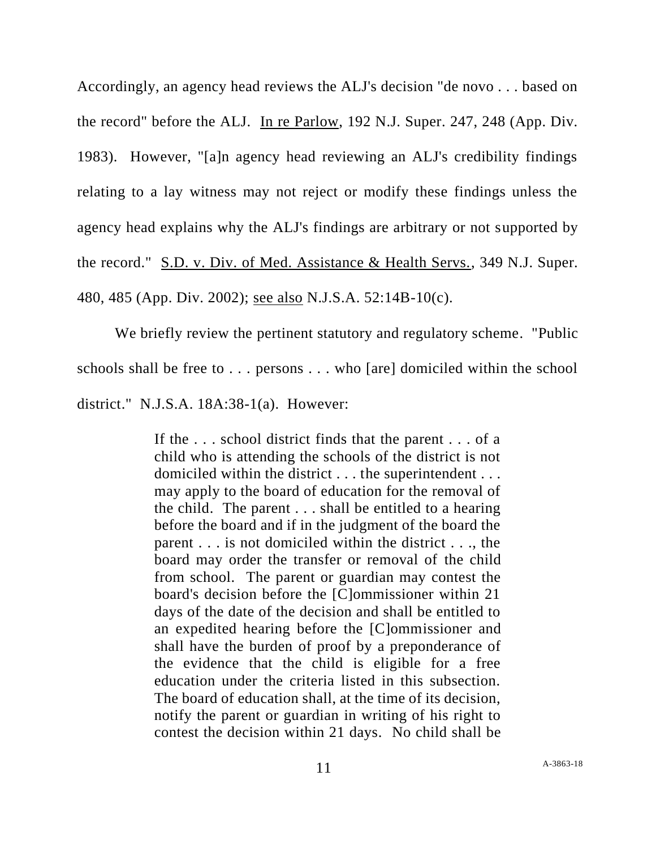Accordingly, an agency head reviews the ALJ's decision "de novo . . . based on the record" before the ALJ. In re Parlow, 192 N.J. Super. 247, 248 (App. Div. 1983). However, "[a]n agency head reviewing an ALJ's credibility findings relating to a lay witness may not reject or modify these findings unless the agency head explains why the ALJ's findings are arbitrary or not supported by the record." S.D. v. Div. of Med. Assistance & Health Servs., 349 N.J. Super. 480, 485 (App. Div. 2002); see also N.J.S.A. 52:14B-10(c).

We briefly review the pertinent statutory and regulatory scheme. "Public schools shall be free to . . . persons . . . who [are] domiciled within the school district." N.J.S.A. 18A:38-1(a). However:

> If the . . . school district finds that the parent . . . of a child who is attending the schools of the district is not domiciled within the district . . . the superintendent . . . may apply to the board of education for the removal of the child. The parent . . . shall be entitled to a hearing before the board and if in the judgment of the board the parent . . . is not domiciled within the district . . ., the board may order the transfer or removal of the child from school. The parent or guardian may contest the board's decision before the [C]ommissioner within 21 days of the date of the decision and shall be entitled to an expedited hearing before the [C]ommissioner and shall have the burden of proof by a preponderance of the evidence that the child is eligible for a free education under the criteria listed in this subsection. The board of education shall, at the time of its decision, notify the parent or guardian in writing of his right to contest the decision within 21 days. No child shall be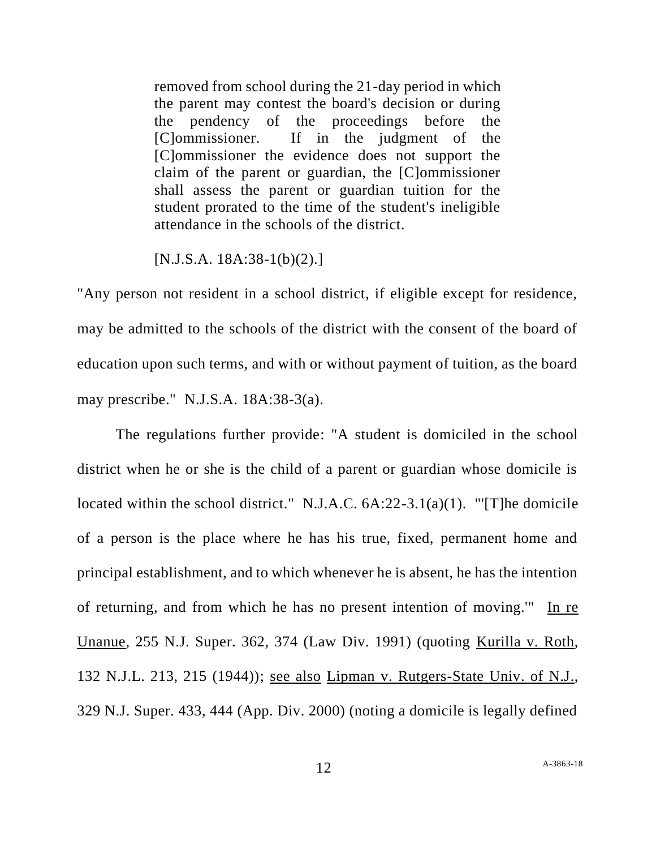removed from school during the 21-day period in which the parent may contest the board's decision or during the pendency of the proceedings before the [C]ommissioner. If in the judgment of the [C]ommissioner the evidence does not support the claim of the parent or guardian, the [C]ommissioner shall assess the parent or guardian tuition for the student prorated to the time of the student's ineligible attendance in the schools of the district.

## [N.J.S.A. 18A:38-1(b)(2).]

"Any person not resident in a school district, if eligible except for residence, may be admitted to the schools of the district with the consent of the board of education upon such terms, and with or without payment of tuition, as the board may prescribe." N.J.S.A. 18A:38-3(a).

The regulations further provide: "A student is domiciled in the school district when he or she is the child of a parent or guardian whose domicile is located within the school district." N.J.A.C. 6A:22-3.1(a)(1). "'[T]he domicile of a person is the place where he has his true, fixed, permanent home and principal establishment, and to which whenever he is absent, he has the intention of returning, and from which he has no present intention of moving.'" In re Unanue, 255 N.J. Super. 362, 374 (Law Div. 1991) (quoting Kurilla v. Roth, 132 N.J.L. 213, 215 (1944)); see also Lipman v. Rutgers-State Univ. of N.J., 329 N.J. Super. 433, 444 (App. Div. 2000) (noting a domicile is legally defined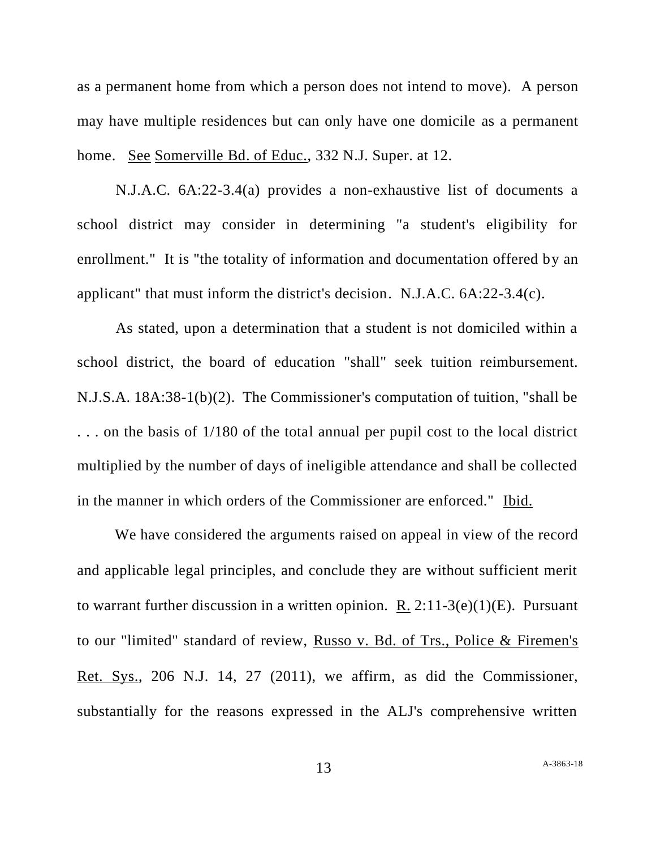as a permanent home from which a person does not intend to move). A person may have multiple residences but can only have one domicile as a permanent home. See Somerville Bd. of Educ., 332 N.J. Super. at 12.

N.J.A.C. 6A:22-3.4(a) provides a non-exhaustive list of documents a school district may consider in determining "a student's eligibility for enrollment." It is "the totality of information and documentation offered by an applicant" that must inform the district's decision. N.J.A.C. 6A:22-3.4(c).

As stated, upon a determination that a student is not domiciled within a school district, the board of education "shall" seek tuition reimbursement. N.J.S.A. 18A:38-1(b)(2). The Commissioner's computation of tuition, "shall be . . . on the basis of 1/180 of the total annual per pupil cost to the local district multiplied by the number of days of ineligible attendance and shall be collected in the manner in which orders of the Commissioner are enforced." Ibid.

We have considered the arguments raised on appeal in view of the record and applicable legal principles, and conclude they are without sufficient merit to warrant further discussion in a written opinion. R.  $2:11-3(e)(1)(E)$ . Pursuant to our "limited" standard of review, Russo v. Bd. of Trs., Police & Firemen's Ret. Sys., 206 N.J. 14, 27 (2011), we affirm, as did the Commissioner, substantially for the reasons expressed in the ALJ's comprehensive written